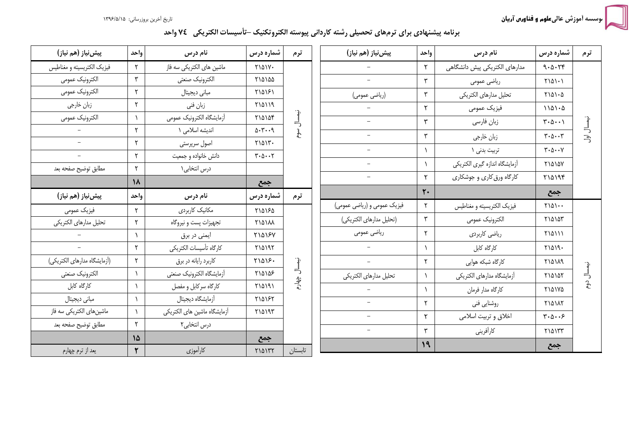.<br>موسسه أموزش عالى علوم <mark>و فناورس آریان</mark>

## برنامه پیشنهادی برای ترمهای تحصیلی رشته کاردانی پیوسته الکتروتکنیک –تأسیسات الکتریکی۔ ٧٤ واحد

| پیشینیاز (هم نیاز)           | واحد                      | نام درس                      | شماره درس                                      | ترم          | پیشینیاز (هم نیاز)          | واحد         | نام درس                        | شماره درس                                            | ترم                       |
|------------------------------|---------------------------|------------------------------|------------------------------------------------|--------------|-----------------------------|--------------|--------------------------------|------------------------------------------------------|---------------------------|
| فيزيک الكتريسيته و مغناطيس   | $\mathsf{r}$              | ماشین های الکتریکی سه فاز    | <b>MAIV.</b>                                   |              |                             | $\mathsf{r}$ | مدارهای الکتریکی پیش دانشگاهی  | 9.0.74                                               |                           |
| الكترونيك عمومى              | ٣                         | الكترونيك صنعتى              | ٢١۵١۵۵                                         |              | $\overline{\phantom{a}}$    | ٣            | رياضي عمومي                    | $Y \setminus \Delta \setminus \cdot$                 |                           |
| الكترونيك عمومي              | $\mathsf{r}$              | مبانی دیجیتال                | 110181                                         |              | (رياضي عمومي)               | ٣            | تحليل مدارهاى الكتريكي         | $Y \setminus \Delta \setminus \cdot \Delta$          |                           |
| زبان خارجي                   | ٢                         | زبان فني                     | <b>710119</b>                                  |              |                             | ۲            | فيزيک عمومي                    | $1101 - 0$                                           |                           |
| الكترونيك عمومى              |                           | أزمايشگاه الكترونيك عمومي    | ٢١۵١٥۴                                         | نيصلل        | $\overline{\phantom{0}}$    | ٣            | زبان فارسى                     | $\forall \cdot \Delta \cdot \cdot \Delta$            | نيمسال                    |
|                              | ٢                         | اندیشه اسلامی ۱              | $\Delta$ . $\mu$ . $\alpha$                    | ھوم          | $\overline{\phantom{a}}$    | ٣            | زبان خارجي                     | $\mathbf{y} \cdot \mathbf{y} \cdot \mathbf{y}$       | $\overline{5}$            |
| $\equiv$                     | ٢                         | اصول سرپرستی                 | $Y\setminus \Delta \setminus Y$ .              |              |                             |              | تربيت بدني ١                   | $\mathbf{y} \cdot \mathbf{y} \cdot \mathbf{y}$       |                           |
| $\equiv$                     | ٢                         | دانش خانواده و جمعیت         | $\mathbf{y} \cdot \mathbf{y} \cdot \mathbf{y}$ |              | $\overline{\phantom{0}}$    |              | أزمايشگاه اندازه گيري الكتريكي | <b>71010V</b>                                        |                           |
| مطابق توضيح صفحه بعد         | $\mathsf{r}$<br>$\lambda$ | درس انتخابی ۱                |                                                |              | $\overline{\phantom{0}}$    | ٢            | کارگاه ورق کاری و جوشکاری      | Y10199                                               |                           |
| پیشینیاز (هم نیاز)           | واحد                      | نام درس                      | جمع<br>شماره درس                               | ترم          |                             | $\mathbf{r}$ |                                | جمع                                                  |                           |
| فيزيك عمومي                  | ٢                         | مكانيك كاربردى               | ٢١۵١۶٥                                         |              | فیزیک عمومی و (ریاضی عمومی) | ٢            | فيزيک الکتريسيته و مغناطيس     | $Y \setminus \Delta \setminus \cdot \cdot$           |                           |
| تحليل مدارهاى الكتريكي       | $\mathsf{r}$              | تجهيزات پست و نيروگاه        | <b>٢١۵١٨٨</b>                                  |              | (تحليل مدارهاى الكتريكي)    | ٣            | الكترونيك عمومي                | ٢١۵١٥٣                                               |                           |
|                              | $\lambda$                 | ایمنی در برق                 | <b>MAY57</b>                                   |              | رياضي عمومي                 | ۲            | ریاضی کاربردی                  | <b>MAIII</b>                                         |                           |
| $\equiv$                     | $\mathsf{r}$              | كارگاه تأسيسات الكتريكي      | Y10197                                         |              | $\overline{\phantom{0}}$    |              | كارگاه كابل                    | $Y \setminus \Delta \setminus 9$ .                   |                           |
| (أزمايشكاه مدارهاي الكتريكي) | ٢                         | كاربرد رايانه در برق         | $Y \setminus \Delta \setminus F$ .             |              | $\equiv$                    | ۲            | کارگاه شبکه هوایی              | <b>710119</b>                                        | . }.                      |
| الكترونيك صنعتى              | $\lambda$                 | أزمايشكاه الكترونيك صنعتى    | ٢١۵١۵۶                                         | نيمسال چهارم | تحليل مدارهاى الكتريكي      |              | أزمايشكاه مدارهاي الكتريكي     | ٢١۵١۵٢                                               | ᆗ                         |
| كارگاه كابل                  | $\lambda$                 | کارگاه سرکابل و مفصل         | ۲۱۵۱۹۱                                         |              |                             |              | كارگاه مدار فرمان              | <b>MAYA</b>                                          | $\mathbf{e}^{\mathbf{c}}$ |
| مبانى ديجيتال                | $\lambda$                 | أزمايشگاه ديجيتال            | 710187                                         |              | $\equiv$                    | ۲            | روشنايي فني                    | <b>TIAIAY</b>                                        |                           |
| ماشینهای الکتریکی سه فاز     |                           | أزمايشگاه ماشين هاي الكتريكي | ٢١۵١٩٣                                         |              | $\overline{\phantom{m}}$    | ۲            | اخلاق و تربيت اسلامي           | $\mathbf{y} \cdot \mathbf{y} \cdot \cdot \mathbf{y}$ |                           |
| مطابق توضيح صفحه بعد         | ٢                         | درس انتخابی۲                 |                                                |              | $\overline{\phantom{0}}$    | ٣            | كارأفريني                      | $Y$ $0YY$                                            |                           |
|                              | 15                        |                              | جمع                                            |              |                             | 19           |                                |                                                      |                           |
| يعد از ترم چهارم             | ٢                         | كارآموزي                     | <b>MAITT</b>                                   | تابستان      |                             |              |                                | جمع                                                  |                           |